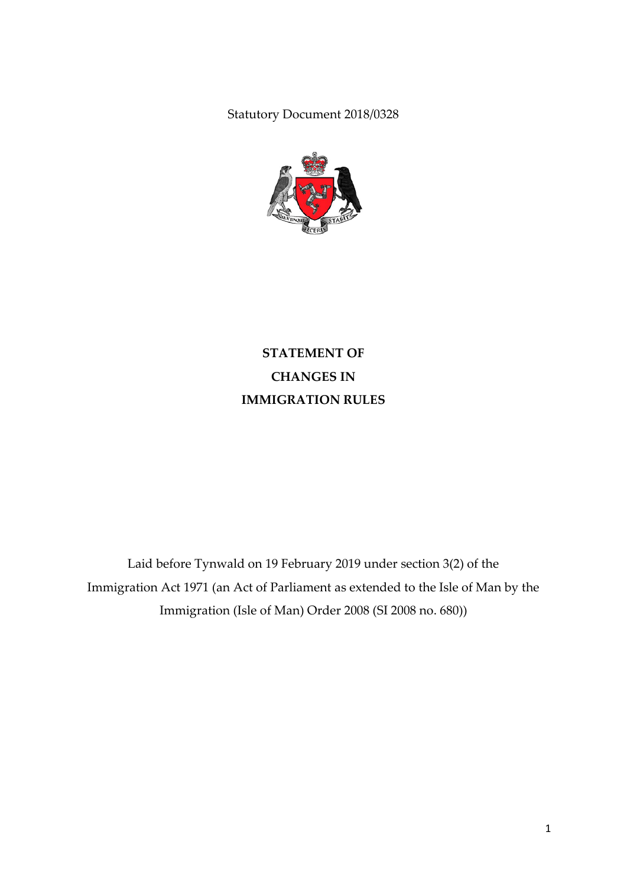Statutory Document 2018/0328



**STATEMENT OF CHANGES IN IMMIGRATION RULES**

Laid before Tynwald on 19 February 2019 under section 3(2) of the Immigration Act 1971 (an Act of Parliament as extended to the Isle of Man by the Immigration (Isle of Man) Order 2008 (SI 2008 no. 680))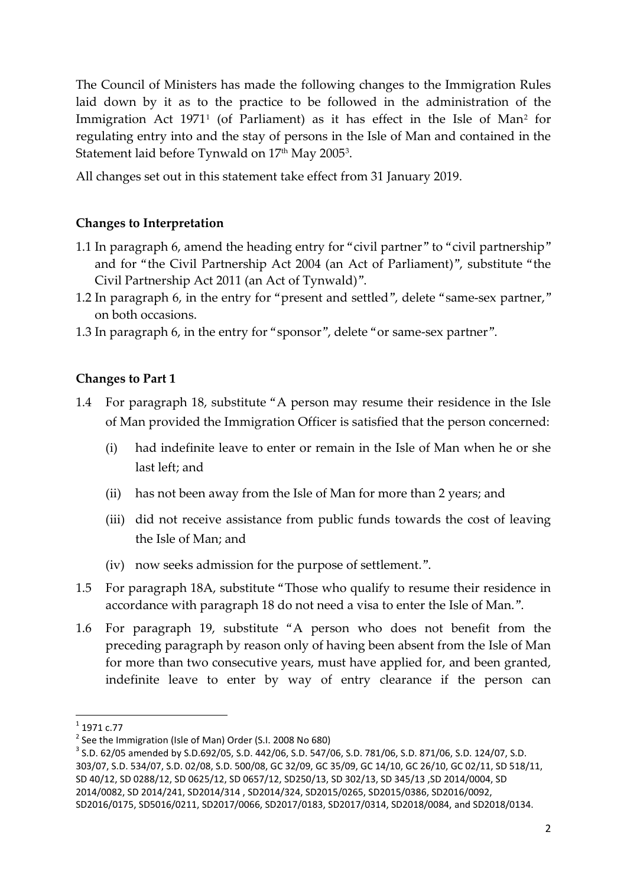The Council of Ministers has made the following changes to the Immigration Rules laid down by it as to the practice to be followed in the administration of the Immigration Act [1](#page-1-0)971<sup>1</sup> (of Parliament) as it has effect in the Isle of Man<sup>[2](#page-1-1)</sup> for regulating entry into and the stay of persons in the Isle of Man and contained in the Statement laid before Tynwald on  $17<sup>th</sup>$  May 2005<sup>[3](#page-1-2)</sup>.

All changes set out in this statement take effect from 31 January 2019.

#### **Changes to Interpretation**

- 1.1 In paragraph 6, amend the heading entry for "civil partner" to "civil partnership" and for "the Civil Partnership Act 2004 (an Act of Parliament)", substitute "the Civil Partnership Act 2011 (an Act of Tynwald)".
- 1.2 In paragraph 6, in the entry for "present and settled", delete "same-sex partner," on both occasions.
- 1.3 In paragraph 6, in the entry for "sponsor", delete "or same-sex partner".

#### **Changes to Part 1**

- 1.4 For paragraph 18, substitute "A person may resume their residence in the Isle of Man provided the Immigration Officer is satisfied that the person concerned:
	- (i) had indefinite leave to enter or remain in the Isle of Man when he or she last left; and
	- (ii) has not been away from the Isle of Man for more than 2 years; and
	- (iii) did not receive assistance from public funds towards the cost of leaving the Isle of Man; and
	- (iv) now seeks admission for the purpose of settlement.".
- 1.5 For paragraph 18A, substitute "Those who qualify to resume their residence in accordance with paragraph 18 do not need a visa to enter the Isle of Man.".
- 1.6 For paragraph 19, substitute "A person who does not benefit from the preceding paragraph by reason only of having been absent from the Isle of Man for more than two consecutive years, must have applied for, and been granted, indefinite leave to enter by way of entry clearance if the person can

<span id="page-1-1"></span><span id="page-1-0"></span> $^{1}$  1971 c.77<br> $^{2}$  See the Immigration (Isle of Man) Order (S.I. 2008 No 680)

<span id="page-1-2"></span> $3$  S.D. 62/05 amended by S.D.692/05, S.D. 442/06, S.D. 547/06, S.D. 781/06, S.D. 871/06, S.D. 124/07, S.D. 303/07, S.D. 534/07, S.D. 02/08, S.D. 500/08, GC 32/09, GC 35/09, GC 14/10, GC 26/10, GC 02/11, SD 518/11, SD 40/12, SD 0288/12, SD 0625/12, SD 0657/12, SD250/13, SD 302/13, SD 345/13 ,SD 2014/0004, SD 2014/0082, SD 2014/241, SD2014/314 , SD2014/324, SD2015/0265, SD2015/0386, SD2016/0092, SD2016/0175, SD5016/0211, SD2017/0066, SD2017/0183, SD2017/0314, SD2018/0084, and SD2018/0134.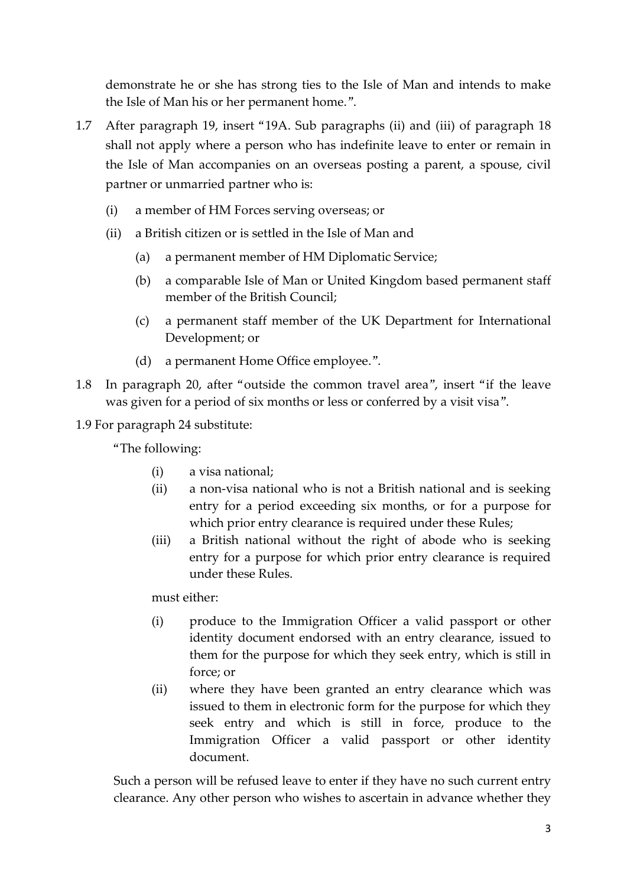demonstrate he or she has strong ties to the Isle of Man and intends to make the Isle of Man his or her permanent home.".

- 1.7 After paragraph 19, insert "19A. Sub paragraphs (ii) and (iii) of paragraph 18 shall not apply where a person who has indefinite leave to enter or remain in the Isle of Man accompanies on an overseas posting a parent, a spouse, civil partner or unmarried partner who is:
	- (i) a member of HM Forces serving overseas; or
	- (ii) a British citizen or is settled in the Isle of Man and
		- (a) a permanent member of HM Diplomatic Service;
		- (b) a comparable Isle of Man or United Kingdom based permanent staff member of the British Council;
		- (c) a permanent staff member of the UK Department for International Development; or
		- (d) a permanent Home Office employee.".
- 1.8 In paragraph 20, after "outside the common travel area", insert "if the leave was given for a period of six months or less or conferred by a visit visa".
- 1.9 For paragraph 24 substitute:

"The following:

- (i) a visa national;
- (ii) a non-visa national who is not a British national and is seeking entry for a period exceeding six months, or for a purpose for which prior entry clearance is required under these Rules;
- (iii) a British national without the right of abode who is seeking entry for a purpose for which prior entry clearance is required under these Rules.

must either:

- (i) produce to the Immigration Officer a valid passport or other identity document endorsed with an entry clearance, issued to them for the purpose for which they seek entry, which is still in force; or
- (ii) where they have been granted an entry clearance which was issued to them in electronic form for the purpose for which they seek entry and which is still in force, produce to the Immigration Officer a valid passport or other identity document.

Such a person will be refused leave to enter if they have no such current entry clearance. Any other person who wishes to ascertain in advance whether they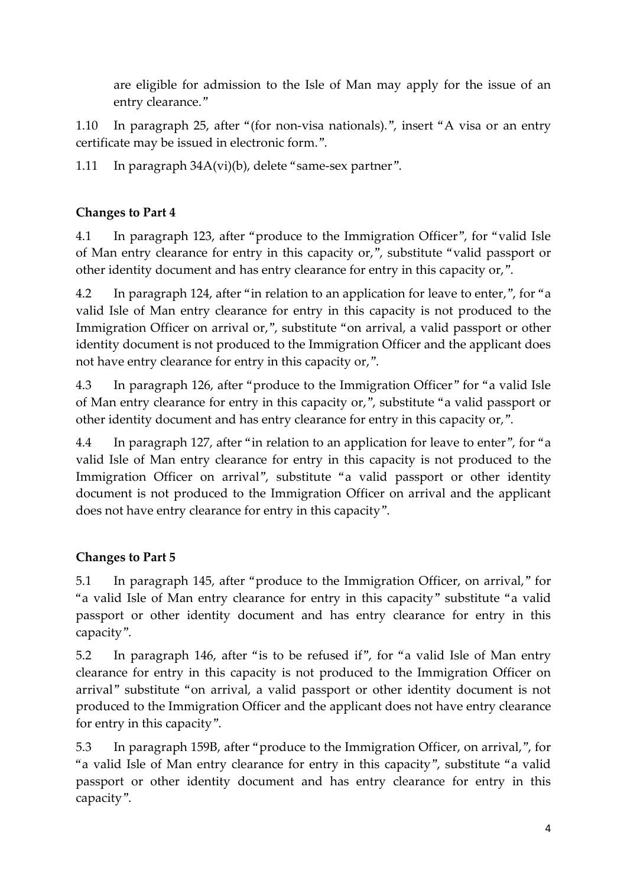are eligible for admission to the Isle of Man may apply for the issue of an entry clearance."

1.10 In paragraph 25, after "(for non-visa nationals).", insert "A visa or an entry certificate may be issued in electronic form.".

1.11 In paragraph 34A(vi)(b), delete "same-sex partner".

## **Changes to Part 4**

4.1 In paragraph 123, after "produce to the Immigration Officer", for "valid Isle of Man entry clearance for entry in this capacity or,", substitute "valid passport or other identity document and has entry clearance for entry in this capacity or,".

4.2 In paragraph 124, after "in relation to an application for leave to enter,", for "a valid Isle of Man entry clearance for entry in this capacity is not produced to the Immigration Officer on arrival or,", substitute "on arrival, a valid passport or other identity document is not produced to the Immigration Officer and the applicant does not have entry clearance for entry in this capacity or,".

4.3 In paragraph 126, after "produce to the Immigration Officer" for "a valid Isle of Man entry clearance for entry in this capacity or,", substitute "a valid passport or other identity document and has entry clearance for entry in this capacity or,".

4.4 In paragraph 127, after "in relation to an application for leave to enter", for "a valid Isle of Man entry clearance for entry in this capacity is not produced to the Immigration Officer on arrival", substitute "a valid passport or other identity document is not produced to the Immigration Officer on arrival and the applicant does not have entry clearance for entry in this capacity".

# **Changes to Part 5**

5.1 In paragraph 145, after "produce to the Immigration Officer, on arrival," for "a valid Isle of Man entry clearance for entry in this capacity" substitute "a valid passport or other identity document and has entry clearance for entry in this capacity".

5.2 In paragraph 146, after "is to be refused if", for "a valid Isle of Man entry clearance for entry in this capacity is not produced to the Immigration Officer on arrival" substitute "on arrival, a valid passport or other identity document is not produced to the Immigration Officer and the applicant does not have entry clearance for entry in this capacity".

5.3 In paragraph 159B, after "produce to the Immigration Officer, on arrival,", for "a valid Isle of Man entry clearance for entry in this capacity", substitute "a valid passport or other identity document and has entry clearance for entry in this capacity".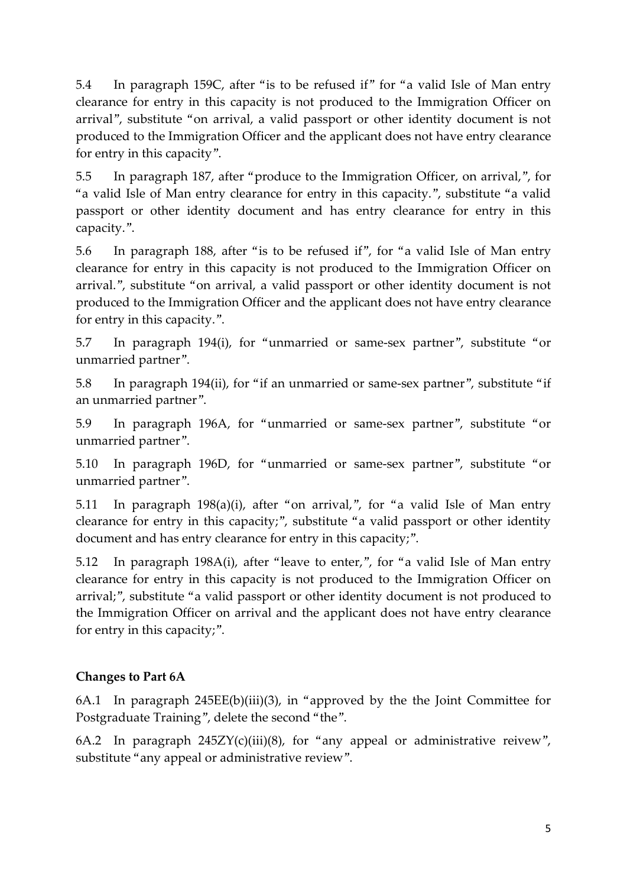5.4 In paragraph 159C, after "is to be refused if" for "a valid Isle of Man entry clearance for entry in this capacity is not produced to the Immigration Officer on arrival", substitute "on arrival, a valid passport or other identity document is not produced to the Immigration Officer and the applicant does not have entry clearance for entry in this capacity".

5.5 In paragraph 187, after "produce to the Immigration Officer, on arrival,", for "a valid Isle of Man entry clearance for entry in this capacity.", substitute "a valid passport or other identity document and has entry clearance for entry in this capacity.".

5.6 In paragraph 188, after "is to be refused if", for "a valid Isle of Man entry clearance for entry in this capacity is not produced to the Immigration Officer on arrival.", substitute "on arrival, a valid passport or other identity document is not produced to the Immigration Officer and the applicant does not have entry clearance for entry in this capacity.".

5.7 In paragraph 194(i), for "unmarried or same-sex partner", substitute "or unmarried partner".

5.8 In paragraph 194(ii), for "if an unmarried or same-sex partner", substitute "if an unmarried partner".

5.9 In paragraph 196A, for "unmarried or same-sex partner", substitute "or unmarried partner".

5.10 In paragraph 196D, for "unmarried or same-sex partner", substitute "or unmarried partner".

5.11 In paragraph 198(a)(i), after "on arrival,", for "a valid Isle of Man entry clearance for entry in this capacity;", substitute "a valid passport or other identity document and has entry clearance for entry in this capacity;".

5.12 In paragraph 198A(i), after "leave to enter,", for "a valid Isle of Man entry clearance for entry in this capacity is not produced to the Immigration Officer on arrival;", substitute "a valid passport or other identity document is not produced to the Immigration Officer on arrival and the applicant does not have entry clearance for entry in this capacity;".

## **Changes to Part 6A**

6A.1 In paragraph 245EE(b)(iii)(3), in "approved by the the Joint Committee for Postgraduate Training", delete the second "the".

6A.2 In paragraph  $245ZY(c)(iii)(8)$ , for "any appeal or administrative reivew", substitute "any appeal or administrative review".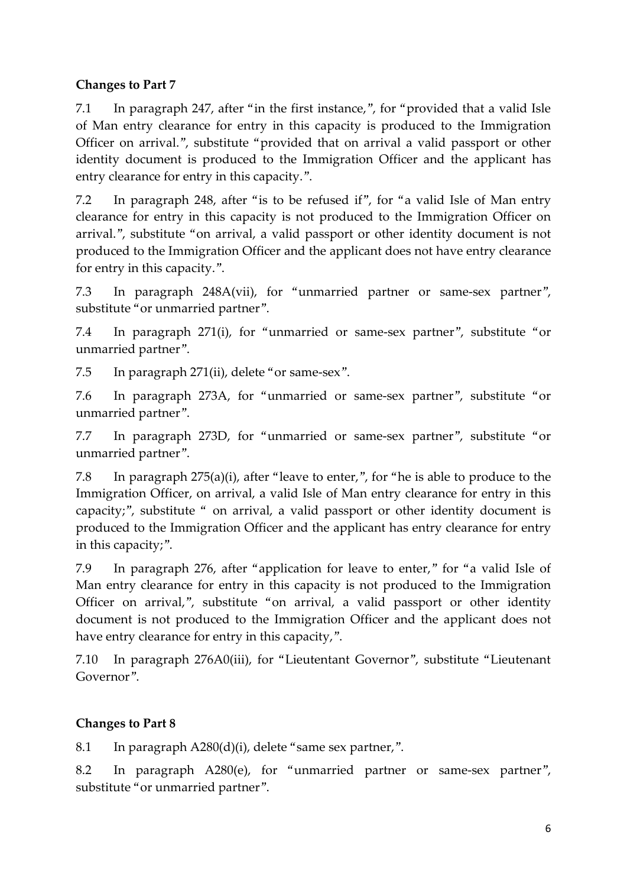#### **Changes to Part 7**

7.1 In paragraph 247, after "in the first instance,", for "provided that a valid Isle of Man entry clearance for entry in this capacity is produced to the Immigration Officer on arrival.", substitute "provided that on arrival a valid passport or other identity document is produced to the Immigration Officer and the applicant has entry clearance for entry in this capacity.".

7.2 In paragraph 248, after "is to be refused if", for "a valid Isle of Man entry clearance for entry in this capacity is not produced to the Immigration Officer on arrival.", substitute "on arrival, a valid passport or other identity document is not produced to the Immigration Officer and the applicant does not have entry clearance for entry in this capacity.".

7.3 In paragraph 248A(vii), for "unmarried partner or same-sex partner", substitute "or unmarried partner".

7.4 In paragraph 271(i), for "unmarried or same-sex partner", substitute "or unmarried partner".

7.5 In paragraph 271(ii), delete "or same-sex".

7.6 In paragraph 273A, for "unmarried or same-sex partner", substitute "or unmarried partner".

7.7 In paragraph 273D, for "unmarried or same-sex partner", substitute "or unmarried partner".

7.8 In paragraph 275(a)(i), after "leave to enter,", for "he is able to produce to the Immigration Officer, on arrival, a valid Isle of Man entry clearance for entry in this capacity;", substitute " on arrival, a valid passport or other identity document is produced to the Immigration Officer and the applicant has entry clearance for entry in this capacity;".

7.9 In paragraph 276, after "application for leave to enter," for "a valid Isle of Man entry clearance for entry in this capacity is not produced to the Immigration Officer on arrival,", substitute "on arrival, a valid passport or other identity document is not produced to the Immigration Officer and the applicant does not have entry clearance for entry in this capacity,".

7.10 In paragraph 276A0(iii), for "Lieutentant Governor", substitute "Lieutenant Governor".

## **Changes to Part 8**

8.1 In paragraph A280(d)(i), delete "same sex partner,".

8.2 In paragraph A280(e), for "unmarried partner or same-sex partner", substitute "or unmarried partner".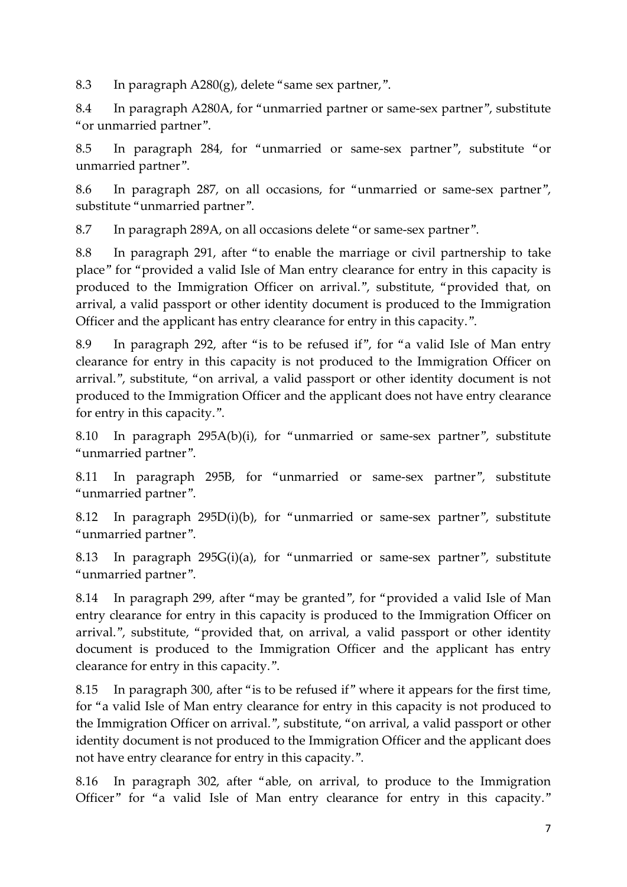8.3 In paragraph A280(g), delete "same sex partner,".

8.4 In paragraph A280A, for "unmarried partner or same-sex partner", substitute "or unmarried partner".

8.5 In paragraph 284, for "unmarried or same-sex partner", substitute "or unmarried partner".

8.6 In paragraph 287, on all occasions, for "unmarried or same-sex partner", substitute "unmarried partner".

8.7 In paragraph 289A, on all occasions delete "or same-sex partner".

8.8 In paragraph 291, after "to enable the marriage or civil partnership to take place" for "provided a valid Isle of Man entry clearance for entry in this capacity is produced to the Immigration Officer on arrival.", substitute, "provided that, on arrival, a valid passport or other identity document is produced to the Immigration Officer and the applicant has entry clearance for entry in this capacity.".

8.9 In paragraph 292, after "is to be refused if", for "a valid Isle of Man entry clearance for entry in this capacity is not produced to the Immigration Officer on arrival.", substitute, "on arrival, a valid passport or other identity document is not produced to the Immigration Officer and the applicant does not have entry clearance for entry in this capacity.".

8.10 In paragraph 295A(b)(i), for "unmarried or same-sex partner", substitute "unmarried partner".

8.11 In paragraph 295B, for "unmarried or same-sex partner", substitute "unmarried partner".

8.12 In paragraph 295D(i)(b), for "unmarried or same-sex partner", substitute "unmarried partner".

8.13 In paragraph 295G(i)(a), for "unmarried or same-sex partner", substitute "unmarried partner".

8.14 In paragraph 299, after "may be granted", for "provided a valid Isle of Man entry clearance for entry in this capacity is produced to the Immigration Officer on arrival.", substitute, "provided that, on arrival, a valid passport or other identity document is produced to the Immigration Officer and the applicant has entry clearance for entry in this capacity.".

8.15 In paragraph 300, after "is to be refused if" where it appears for the first time, for "a valid Isle of Man entry clearance for entry in this capacity is not produced to the Immigration Officer on arrival.", substitute, "on arrival, a valid passport or other identity document is not produced to the Immigration Officer and the applicant does not have entry clearance for entry in this capacity.".

8.16 In paragraph 302, after "able, on arrival, to produce to the Immigration Officer" for "a valid Isle of Man entry clearance for entry in this capacity."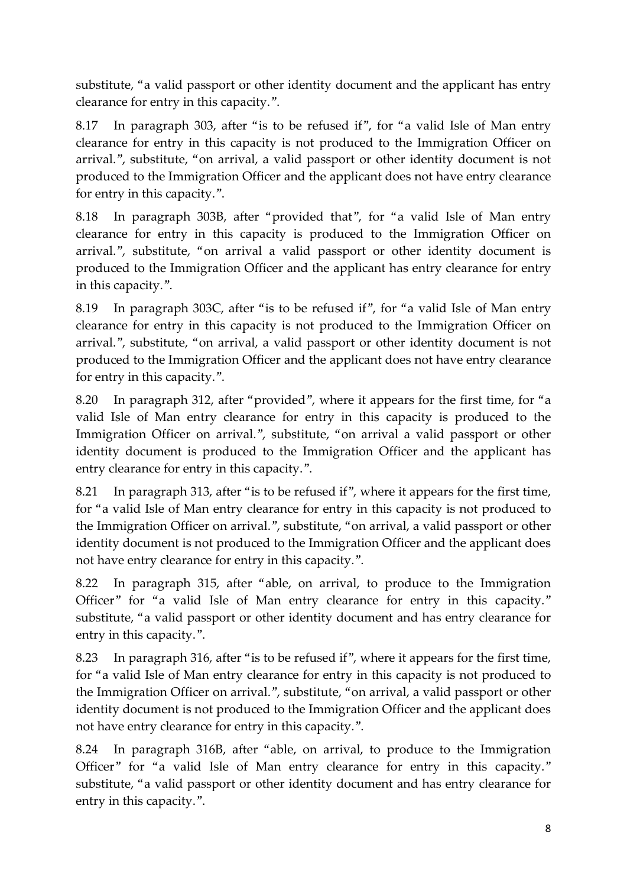substitute, "a valid passport or other identity document and the applicant has entry clearance for entry in this capacity.".

8.17 In paragraph 303, after "is to be refused if", for "a valid Isle of Man entry clearance for entry in this capacity is not produced to the Immigration Officer on arrival.", substitute, "on arrival, a valid passport or other identity document is not produced to the Immigration Officer and the applicant does not have entry clearance for entry in this capacity.".

8.18 In paragraph 303B, after "provided that", for "a valid Isle of Man entry clearance for entry in this capacity is produced to the Immigration Officer on arrival.", substitute, "on arrival a valid passport or other identity document is produced to the Immigration Officer and the applicant has entry clearance for entry in this capacity.".

8.19 In paragraph 303C, after "is to be refused if", for "a valid Isle of Man entry clearance for entry in this capacity is not produced to the Immigration Officer on arrival.", substitute, "on arrival, a valid passport or other identity document is not produced to the Immigration Officer and the applicant does not have entry clearance for entry in this capacity.".

8.20 In paragraph 312, after "provided", where it appears for the first time, for "a valid Isle of Man entry clearance for entry in this capacity is produced to the Immigration Officer on arrival.", substitute, "on arrival a valid passport or other identity document is produced to the Immigration Officer and the applicant has entry clearance for entry in this capacity.".

8.21 In paragraph 313, after "is to be refused if", where it appears for the first time, for "a valid Isle of Man entry clearance for entry in this capacity is not produced to the Immigration Officer on arrival.", substitute, "on arrival, a valid passport or other identity document is not produced to the Immigration Officer and the applicant does not have entry clearance for entry in this capacity.".

8.22 In paragraph 315, after "able, on arrival, to produce to the Immigration Officer" for "a valid Isle of Man entry clearance for entry in this capacity." substitute, "a valid passport or other identity document and has entry clearance for entry in this capacity.".

8.23 In paragraph 316, after "is to be refused if", where it appears for the first time, for "a valid Isle of Man entry clearance for entry in this capacity is not produced to the Immigration Officer on arrival.", substitute, "on arrival, a valid passport or other identity document is not produced to the Immigration Officer and the applicant does not have entry clearance for entry in this capacity.".

8.24 In paragraph 316B, after "able, on arrival, to produce to the Immigration Officer" for "a valid Isle of Man entry clearance for entry in this capacity." substitute, "a valid passport or other identity document and has entry clearance for entry in this capacity.".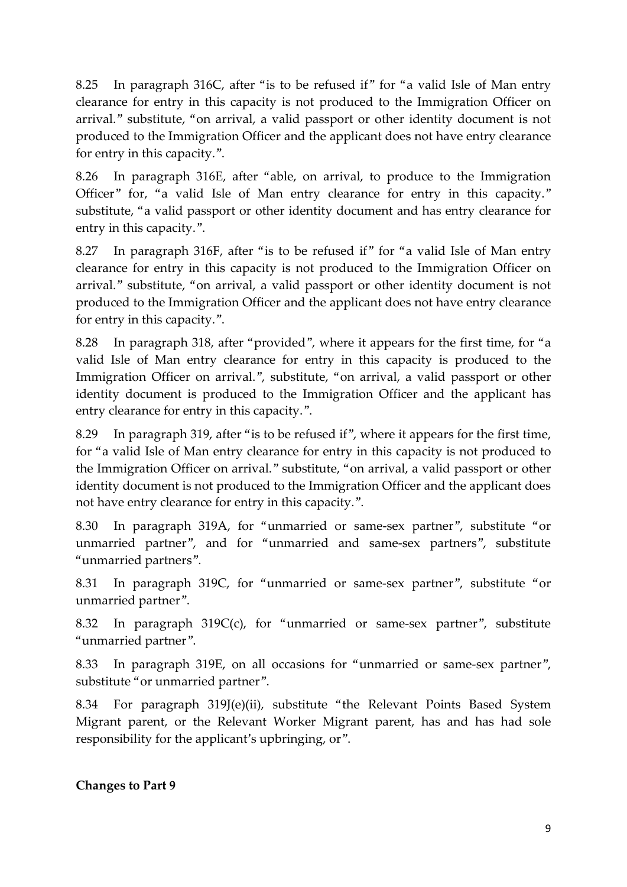8.25 In paragraph 316C, after "is to be refused if" for "a valid Isle of Man entry clearance for entry in this capacity is not produced to the Immigration Officer on arrival." substitute, "on arrival, a valid passport or other identity document is not produced to the Immigration Officer and the applicant does not have entry clearance for entry in this capacity.".

8.26 In paragraph 316E, after "able, on arrival, to produce to the Immigration Officer" for, "a valid Isle of Man entry clearance for entry in this capacity." substitute, "a valid passport or other identity document and has entry clearance for entry in this capacity.".

8.27 In paragraph 316F, after "is to be refused if" for "a valid Isle of Man entry clearance for entry in this capacity is not produced to the Immigration Officer on arrival." substitute, "on arrival, a valid passport or other identity document is not produced to the Immigration Officer and the applicant does not have entry clearance for entry in this capacity.".

8.28 In paragraph 318, after "provided", where it appears for the first time, for "a valid Isle of Man entry clearance for entry in this capacity is produced to the Immigration Officer on arrival.", substitute, "on arrival, a valid passport or other identity document is produced to the Immigration Officer and the applicant has entry clearance for entry in this capacity.".

8.29 In paragraph 319, after "is to be refused if", where it appears for the first time, for "a valid Isle of Man entry clearance for entry in this capacity is not produced to the Immigration Officer on arrival." substitute, "on arrival, a valid passport or other identity document is not produced to the Immigration Officer and the applicant does not have entry clearance for entry in this capacity.".

8.30 In paragraph 319A, for "unmarried or same-sex partner", substitute "or unmarried partner", and for "unmarried and same-sex partners", substitute "unmarried partners".

8.31 In paragraph 319C, for "unmarried or same-sex partner", substitute "or unmarried partner".

8.32 In paragraph 319C(c), for "unmarried or same-sex partner", substitute "unmarried partner".

8.33 In paragraph 319E, on all occasions for "unmarried or same-sex partner", substitute "or unmarried partner".

8.34 For paragraph 319J(e)(ii), substitute "the Relevant Points Based System Migrant parent, or the Relevant Worker Migrant parent, has and has had sole responsibility for the applicant's upbringing, or".

#### **Changes to Part 9**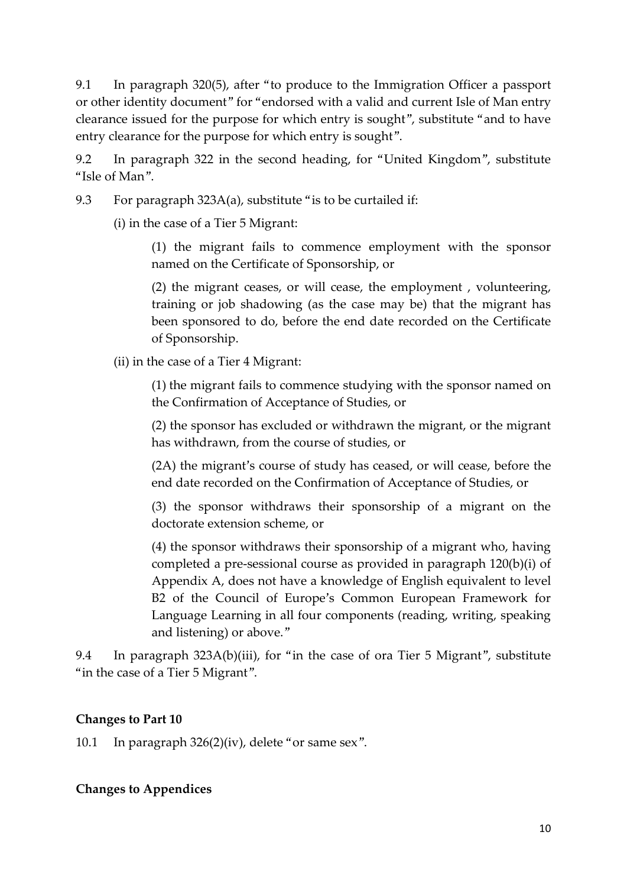9.1 In paragraph 320(5), after "to produce to the Immigration Officer a passport or other identity document" for "endorsed with a valid and current Isle of Man entry clearance issued for the purpose for which entry is sought", substitute "and to have entry clearance for the purpose for which entry is sought".

9.2 In paragraph 322 in the second heading, for "United Kingdom", substitute "Isle of Man".

9.3 For paragraph 323A(a), substitute "is to be curtailed if:

(i) in the case of a Tier 5 Migrant:

(1) the migrant fails to commence employment with the sponsor named on the Certificate of Sponsorship, or

(2) the migrant ceases, or will cease, the employment , volunteering, training or job shadowing (as the case may be) that the migrant has been sponsored to do, before the end date recorded on the Certificate of Sponsorship.

(ii) in the case of a Tier 4 Migrant:

(1) the migrant fails to commence studying with the sponsor named on the Confirmation of Acceptance of Studies, or

(2) the sponsor has excluded or withdrawn the migrant, or the migrant has withdrawn, from the course of studies, or

(2A) the migrant's course of study has ceased, or will cease, before the end date recorded on the Confirmation of Acceptance of Studies, or

(3) the sponsor withdraws their sponsorship of a migrant on the doctorate extension scheme, or

(4) the sponsor withdraws their sponsorship of a migrant who, having completed a pre-sessional course as provided in paragraph 120(b)(i) of Appendix A, does not have a knowledge of English equivalent to level B2 of the Council of Europe's Common European Framework for Language Learning in all four components (reading, writing, speaking and listening) or above."

9.4 In paragraph 323A(b)(iii), for "in the case of ora Tier 5 Migrant", substitute "in the case of a Tier 5 Migrant".

## **Changes to Part 10**

10.1 In paragraph 326(2)(iv), delete "or same sex".

**Changes to Appendices**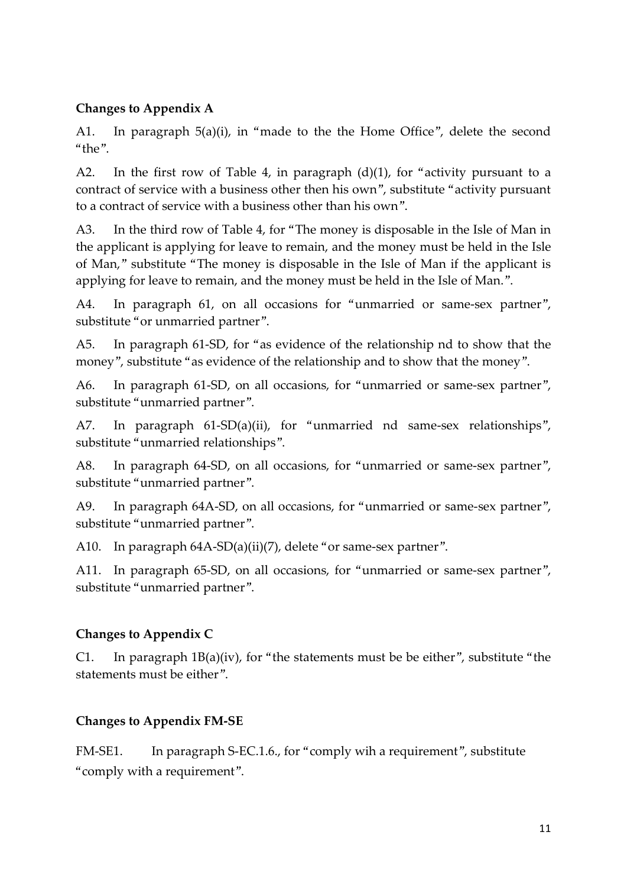### **Changes to Appendix A**

A1. In paragraph 5(a)(i), in "made to the the Home Office", delete the second "the".

A2. In the first row of Table 4, in paragraph  $(d)(1)$ , for "activity pursuant to a contract of service with a business other then his own", substitute "activity pursuant to a contract of service with a business other than his own".

A3. In the third row of Table 4, for "The money is disposable in the Isle of Man in the applicant is applying for leave to remain, and the money must be held in the Isle of Man," substitute "The money is disposable in the Isle of Man if the applicant is applying for leave to remain, and the money must be held in the Isle of Man.".

A4. In paragraph 61, on all occasions for "unmarried or same-sex partner", substitute "or unmarried partner".

A5. In paragraph 61-SD, for "as evidence of the relationship nd to show that the money", substitute "as evidence of the relationship and to show that the money".

A6. In paragraph 61-SD, on all occasions, for "unmarried or same-sex partner", substitute "unmarried partner".

A7. In paragraph 61-SD(a)(ii), for "unmarried nd same-sex relationships", substitute "unmarried relationships".

A8. In paragraph 64-SD, on all occasions, for "unmarried or same-sex partner", substitute "unmarried partner".

A9. In paragraph 64A-SD, on all occasions, for "unmarried or same-sex partner", substitute "unmarried partner".

A10. In paragraph 64A-SD(a)(ii)(7), delete "or same-sex partner".

A11. In paragraph 65-SD, on all occasions, for "unmarried or same-sex partner", substitute "unmarried partner".

# **Changes to Appendix C**

C1. In paragraph  $1B(a)(iv)$ , for "the statements must be be either", substitute "the statements must be either".

# **Changes to Appendix FM-SE**

FM-SE1. In paragraph S-EC.1.6., for "comply wih a requirement", substitute "comply with a requirement".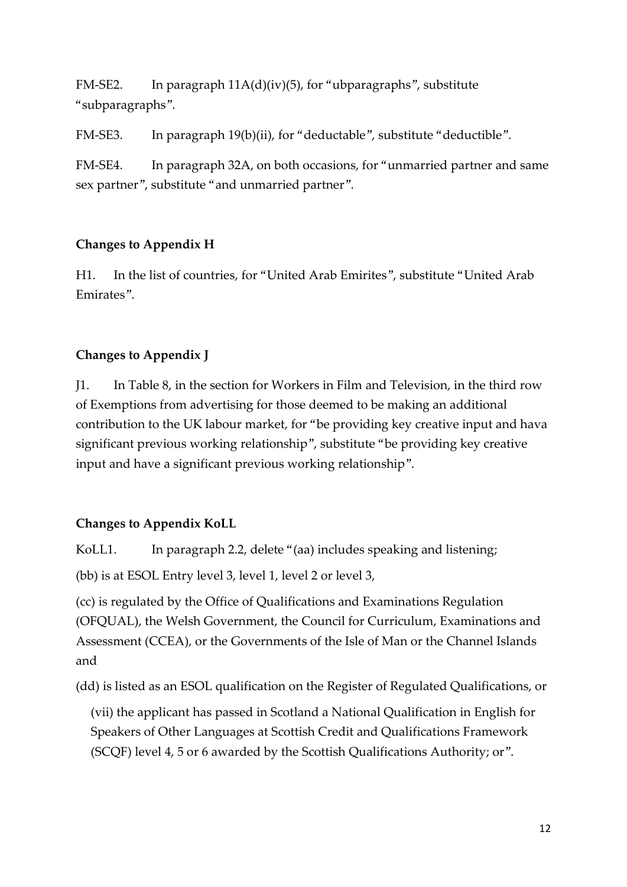FM-SE2. In paragraph 11A(d)(iv)(5), for "ubparagraphs", substitute "subparagraphs".

FM-SE3. In paragraph 19(b)(ii), for "deductable", substitute "deductible".

FM-SE4. In paragraph 32A, on both occasions, for "unmarried partner and same sex partner", substitute "and unmarried partner".

#### **Changes to Appendix H**

H1. In the list of countries, for "United Arab Emirites", substitute "United Arab Emirates".

#### **Changes to Appendix J**

J1. In Table 8, in the section for Workers in Film and Television, in the third row of Exemptions from advertising for those deemed to be making an additional contribution to the UK labour market, for "be providing key creative input and hava significant previous working relationship", substitute "be providing key creative input and have a significant previous working relationship".

#### **Changes to Appendix KoLL**

KoLL1. In paragraph 2.2, delete "(aa) includes speaking and listening;

(bb) is at ESOL Entry level 3, level 1, level 2 or level 3,

(cc) is regulated by the Office of Qualifications and Examinations Regulation (OFQUAL), the Welsh Government, the Council for Curriculum, Examinations and Assessment (CCEA), or the Governments of the Isle of Man or the Channel Islands and

(dd) is listed as an ESOL qualification on the Register of Regulated Qualifications, or

(vii) the applicant has passed in Scotland a National Qualification in English for Speakers of Other Languages at Scottish Credit and Qualifications Framework (SCQF) level 4, 5 or 6 awarded by the Scottish Qualifications Authority; or".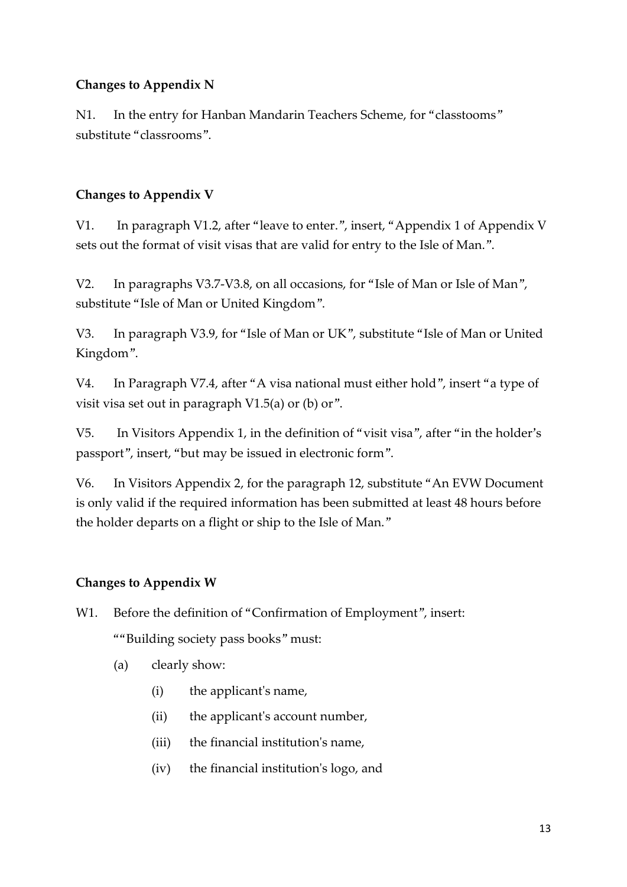#### **Changes to Appendix N**

N1. In the entry for Hanban Mandarin Teachers Scheme, for "classtooms" substitute "classrooms".

#### **Changes to Appendix V**

V1. In paragraph V1.2, after "leave to enter.", insert, "Appendix 1 of Appendix V sets out the format of visit visas that are valid for entry to the Isle of Man.".

V2. In paragraphs V3.7-V3.8, on all occasions, for "Isle of Man or Isle of Man", substitute "Isle of Man or United Kingdom".

V3. In paragraph V3.9, for "Isle of Man or UK", substitute "Isle of Man or United Kingdom".

V4. In Paragraph V7.4, after "A visa national must either hold", insert "a type of visit visa set out in paragraph V1.5(a) or (b) or".

V5. In Visitors Appendix 1, in the definition of "visit visa", after "in the holder's passport", insert, "but may be issued in electronic form".

V6. In Visitors Appendix 2, for the paragraph 12, substitute "An EVW Document is only valid if the required information has been submitted at least 48 hours before the holder departs on a flight or ship to the Isle of Man."

#### **Changes to Appendix W**

- W1. Before the definition of "Confirmation of Employment", insert: ""Building society pass books" must:
	- (a) clearly show:
		- (i) the applicant's name,
		- (ii) the applicant's account number,
		- (iii) the financial institution's name,
		- (iv) the financial institution's logo, and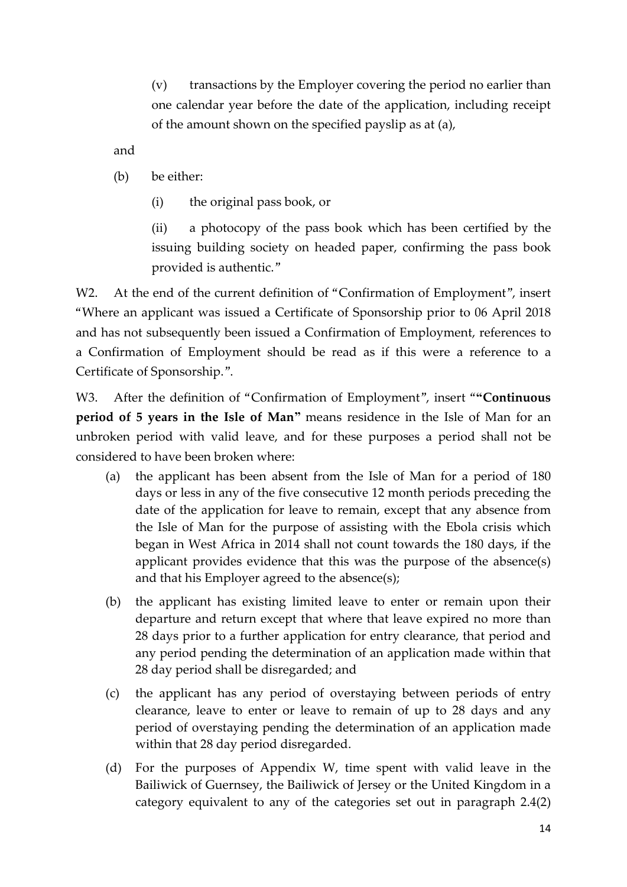(v) transactions by the Employer covering the period no earlier than one calendar year before the date of the application, including receipt of the amount shown on the specified payslip as at (a),

and

- (b) be either:
	- (i) the original pass book, or

(ii) a photocopy of the pass book which has been certified by the issuing building society on headed paper, confirming the pass book provided is authentic."

W2. At the end of the current definition of "Confirmation of Employment", insert "Where an applicant was issued a Certificate of Sponsorship prior to 06 April 2018 and has not subsequently been issued a Confirmation of Employment, references to a Confirmation of Employment should be read as if this were a reference to a Certificate of Sponsorship.".

W3. After the definition of "Confirmation of Employment", insert "**"Continuous period of 5 years in the Isle of Man"** means residence in the Isle of Man for an unbroken period with valid leave, and for these purposes a period shall not be considered to have been broken where:

- (a) the applicant has been absent from the Isle of Man for a period of 180 days or less in any of the five consecutive 12 month periods preceding the date of the application for leave to remain, except that any absence from the Isle of Man for the purpose of assisting with the Ebola crisis which began in West Africa in 2014 shall not count towards the 180 days, if the applicant provides evidence that this was the purpose of the absence(s) and that his Employer agreed to the absence(s);
- (b) the applicant has existing limited leave to enter or remain upon their departure and return except that where that leave expired no more than 28 days prior to a further application for entry clearance, that period and any period pending the determination of an application made within that 28 day period shall be disregarded; and
- (c) the applicant has any period of overstaying between periods of entry clearance, leave to enter or leave to remain of up to 28 days and any period of overstaying pending the determination of an application made within that 28 day period disregarded.
- (d) For the purposes of Appendix W, time spent with valid leave in the Bailiwick of Guernsey, the Bailiwick of Jersey or the United Kingdom in a category equivalent to any of the categories set out in paragraph 2.4(2)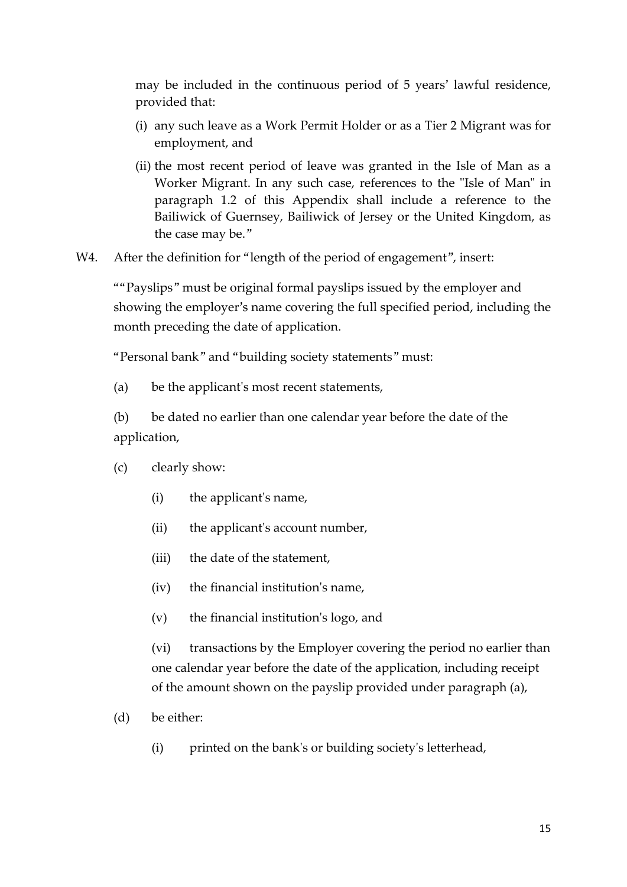may be included in the continuous period of 5 years' lawful residence, provided that:

- (i) any such leave as a Work Permit Holder or as a Tier 2 Migrant was for employment, and
- (ii) the most recent period of leave was granted in the Isle of Man as a Worker Migrant. In any such case, references to the "Isle of Man" in paragraph 1.2 of this Appendix shall include a reference to the Bailiwick of Guernsey, Bailiwick of Jersey or the United Kingdom, as the case may be."
- W4. After the definition for "length of the period of engagement", insert:

""Payslips" must be original formal payslips issued by the employer and showing the employer's name covering the full specified period, including the month preceding the date of application.

"Personal bank" and "building society statements" must:

(a) be the applicant's most recent statements,

(b) be dated no earlier than one calendar year before the date of the application,

- (c) clearly show:
	- (i) the applicant's name,
	- (ii) the applicant's account number,
	- (iii) the date of the statement,
	- (iv) the financial institution's name,
	- (v) the financial institution's logo, and

(vi) transactions by the Employer covering the period no earlier than one calendar year before the date of the application, including receipt of the amount shown on the payslip provided under paragraph (a),

- (d) be either:
	- (i) printed on the bank's or building society's letterhead,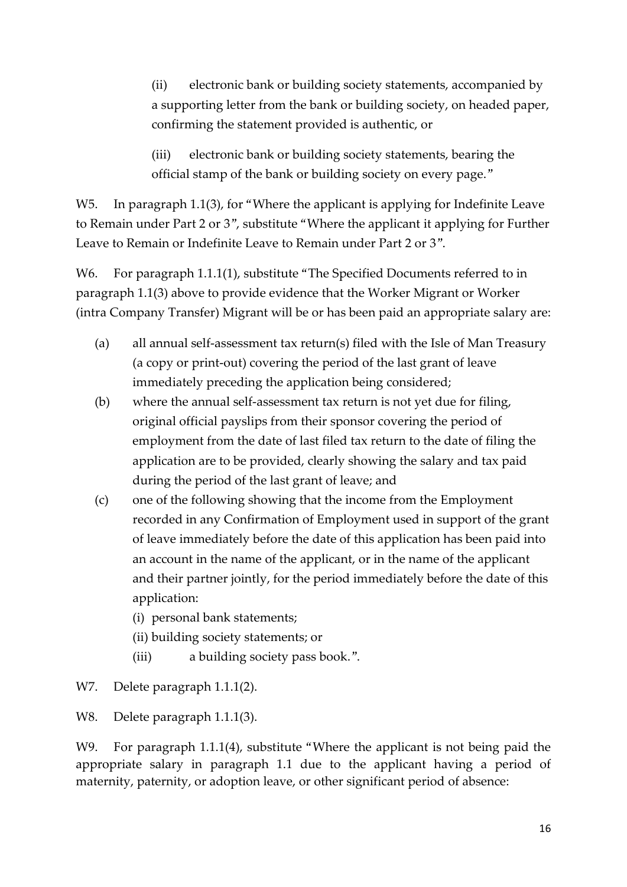(ii) electronic bank or building society statements, accompanied by a supporting letter from the bank or building society, on headed paper, confirming the statement provided is authentic, or

(iii) electronic bank or building society statements, bearing the official stamp of the bank or building society on every page."

W5. In paragraph 1.1(3), for "Where the applicant is applying for Indefinite Leave to Remain under Part 2 or 3", substitute "Where the applicant it applying for Further Leave to Remain or Indefinite Leave to Remain under Part 2 or 3".

W6. For paragraph 1.1.1(1), substitute "The Specified Documents referred to in paragraph 1.1(3) above to provide evidence that the Worker Migrant or Worker (intra Company Transfer) Migrant will be or has been paid an appropriate salary are:

- (a) all annual self-assessment tax return(s) filed with the Isle of Man Treasury (a copy or print-out) covering the period of the last grant of leave immediately preceding the application being considered;
- (b) where the annual self-assessment tax return is not yet due for filing, original official payslips from their sponsor covering the period of employment from the date of last filed tax return to the date of filing the application are to be provided, clearly showing the salary and tax paid during the period of the last grant of leave; and
- (c) one of the following showing that the income from the Employment recorded in any Confirmation of Employment used in support of the grant of leave immediately before the date of this application has been paid into an account in the name of the applicant, or in the name of the applicant and their partner jointly, for the period immediately before the date of this application:
	- (i) personal bank statements;
	- (ii) building society statements; or
	- (iii) a building society pass book.".
- W7. Delete paragraph 1.1.1(2).

W8. Delete paragraph 1.1.1(3).

W9. For paragraph 1.1.1(4), substitute "Where the applicant is not being paid the appropriate salary in paragraph 1.1 due to the applicant having a period of maternity, paternity, or adoption leave, or other significant period of absence: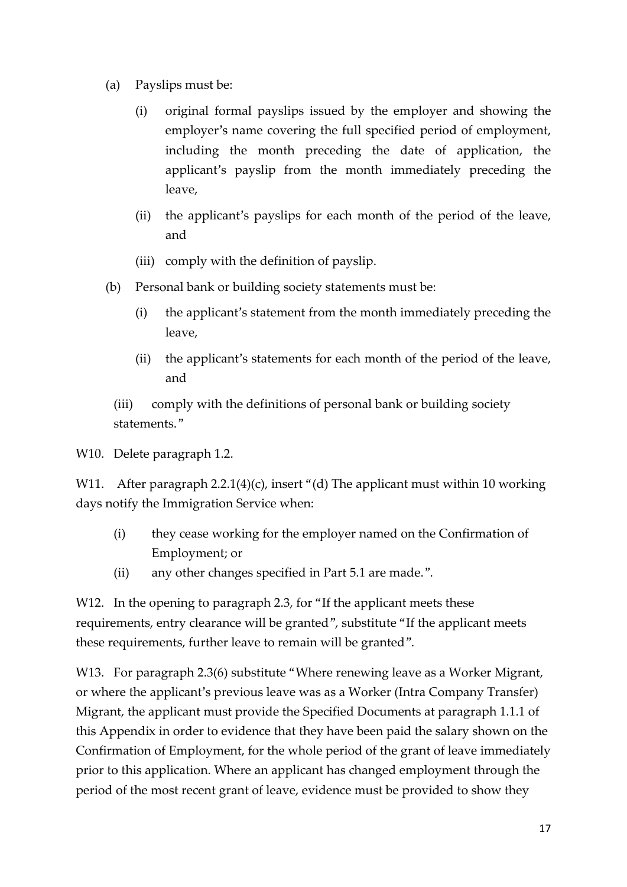- (a) Payslips must be:
	- (i) original formal payslips issued by the employer and showing the employer's name covering the full specified period of employment, including the month preceding the date of application, the applicant's payslip from the month immediately preceding the leave,
	- (ii) the applicant's payslips for each month of the period of the leave, and
	- (iii) comply with the definition of payslip.
- (b) Personal bank or building society statements must be:
	- (i) the applicant's statement from the month immediately preceding the leave,
	- (ii) the applicant's statements for each month of the period of the leave, and

(iii) comply with the definitions of personal bank or building society statements."

W10. Delete paragraph 1.2.

W11. After paragraph 2.2.1(4)(c), insert "(d) The applicant must within 10 working days notify the Immigration Service when:

- (i) they cease working for the employer named on the Confirmation of Employment; or
- (ii) any other changes specified in Part 5.1 are made.".

W12. In the opening to paragraph 2.3, for "If the applicant meets these requirements, entry clearance will be granted", substitute "If the applicant meets these requirements, further leave to remain will be granted".

W13. For paragraph 2.3(6) substitute "Where renewing leave as a Worker Migrant, or where the applicant's previous leave was as a Worker (Intra Company Transfer) Migrant, the applicant must provide the Specified Documents at paragraph 1.1.1 of this Appendix in order to evidence that they have been paid the salary shown on the Confirmation of Employment, for the whole period of the grant of leave immediately prior to this application. Where an applicant has changed employment through the period of the most recent grant of leave, evidence must be provided to show they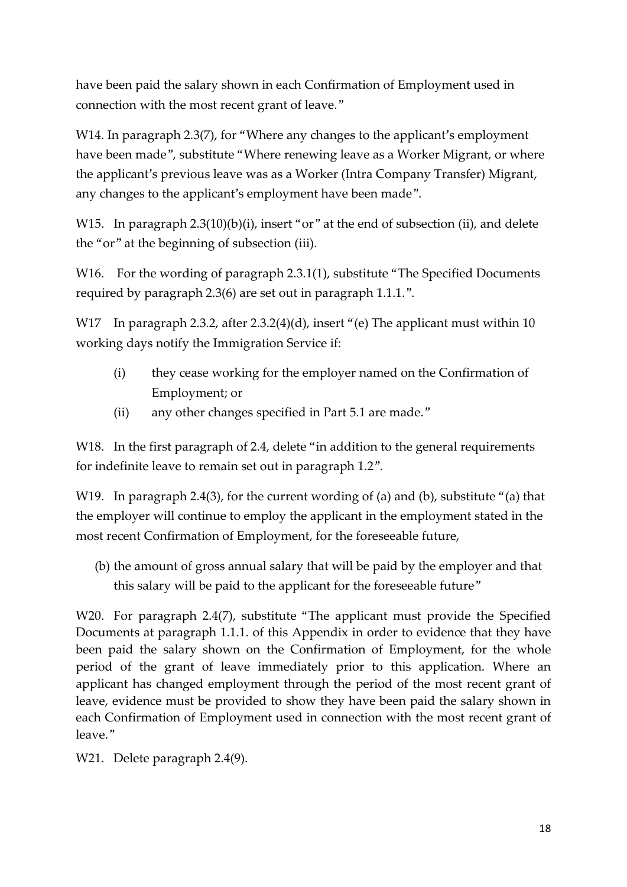have been paid the salary shown in each Confirmation of Employment used in connection with the most recent grant of leave."

W14. In paragraph 2.3(7), for "Where any changes to the applicant's employment have been made", substitute "Where renewing leave as a Worker Migrant, or where the applicant's previous leave was as a Worker (Intra Company Transfer) Migrant, any changes to the applicant's employment have been made".

W15. In paragraph 2.3(10)(b)(i), insert "or" at the end of subsection (ii), and delete the "or" at the beginning of subsection (iii).

W16. For the wording of paragraph 2.3.1(1), substitute "The Specified Documents" required by paragraph 2.3(6) are set out in paragraph 1.1.1.".

W17 In paragraph 2.3.2, after 2.3.2(4)(d), insert "(e) The applicant must within 10 working days notify the Immigration Service if:

- (i) they cease working for the employer named on the Confirmation of Employment; or
- (ii) any other changes specified in Part 5.1 are made."

W18. In the first paragraph of 2.4, delete "in addition to the general requirements for indefinite leave to remain set out in paragraph 1.2".

W19. In paragraph 2.4(3), for the current wording of (a) and (b), substitute "(a) that the employer will continue to employ the applicant in the employment stated in the most recent Confirmation of Employment, for the foreseeable future,

(b) the amount of gross annual salary that will be paid by the employer and that this salary will be paid to the applicant for the foreseeable future"

W20. For paragraph 2.4(7), substitute "The applicant must provide the Specified Documents at paragraph 1.1.1. of this Appendix in order to evidence that they have been paid the salary shown on the Confirmation of Employment, for the whole period of the grant of leave immediately prior to this application. Where an applicant has changed employment through the period of the most recent grant of leave, evidence must be provided to show they have been paid the salary shown in each Confirmation of Employment used in connection with the most recent grant of leave."

W21. Delete paragraph 2.4(9).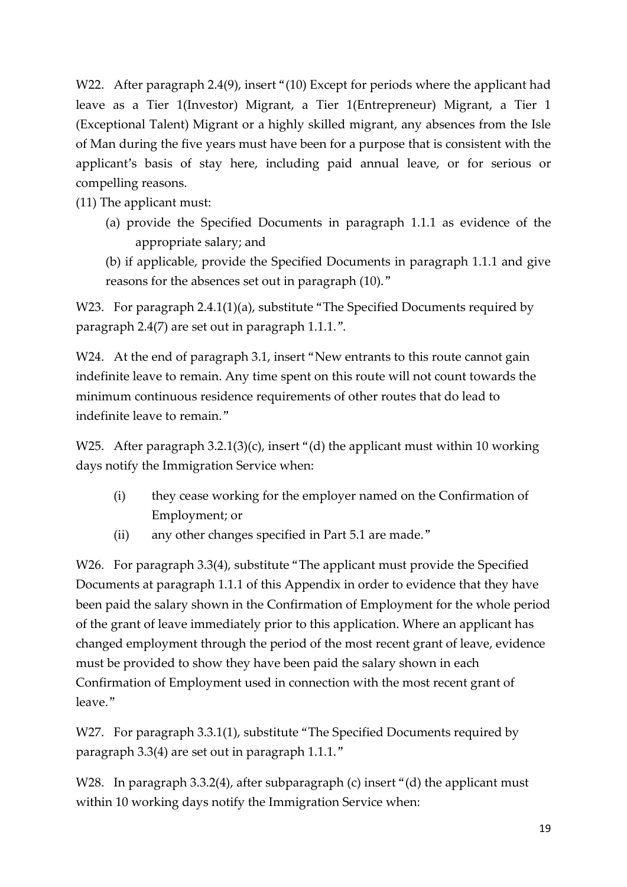W22. After paragraph 2.4(9), insert "(10) Except for periods where the applicant had leave as a Tier 1(Investor) Migrant, a Tier 1(Entrepreneur) Migrant, a Tier 1 (Exceptional Talent) Migrant or a highly skilled migrant, any absences from the Isle of Man during the five years must have been for a purpose that is consistent with the applicant's basis of stay here, including paid annual leave, or for serious or compelling reasons.

(11) The applicant must:

- (a) provide the Specified Documents in paragraph 1.1.1 as evidence of the appropriate salary; and
- (b) if applicable, provide the Specified Documents in paragraph 1.1.1 and give reasons for the absences set out in paragraph (10)."

W23. For paragraph 2.4.1(1)(a), substitute "The Specified Documents required by paragraph 2.4(7) are set out in paragraph 1.1.1.".

W24. At the end of paragraph 3.1, insert "New entrants to this route cannot gain indefinite leave to remain. Any time spent on this route will not count towards the minimum continuous residence requirements of other routes that do lead to indefinite leave to remain."

W25. After paragraph 3.2.1(3)(c), insert "(d) the applicant must within 10 working days notify the Immigration Service when:

- (i) they cease working for the employer named on the Confirmation of Employment; or
- (ii) any other changes specified in Part 5.1 are made."

W26. For paragraph 3.3(4), substitute "The applicant must provide the Specified Documents at paragraph 1.1.1 of this Appendix in order to evidence that they have been paid the salary shown in the Confirmation of Employment for the whole period of the grant of leave immediately prior to this application. Where an applicant has changed employment through the period of the most recent grant of leave, evidence must be provided to show they have been paid the salary shown in each Confirmation of Employment used in connection with the most recent grant of leave."

W27. For paragraph 3.3.1(1), substitute "The Specified Documents required by paragraph 3.3(4) are set out in paragraph 1.1.1."

W28. In paragraph 3.3.2(4), after subparagraph (c) insert "(d) the applicant must within 10 working days notify the Immigration Service when: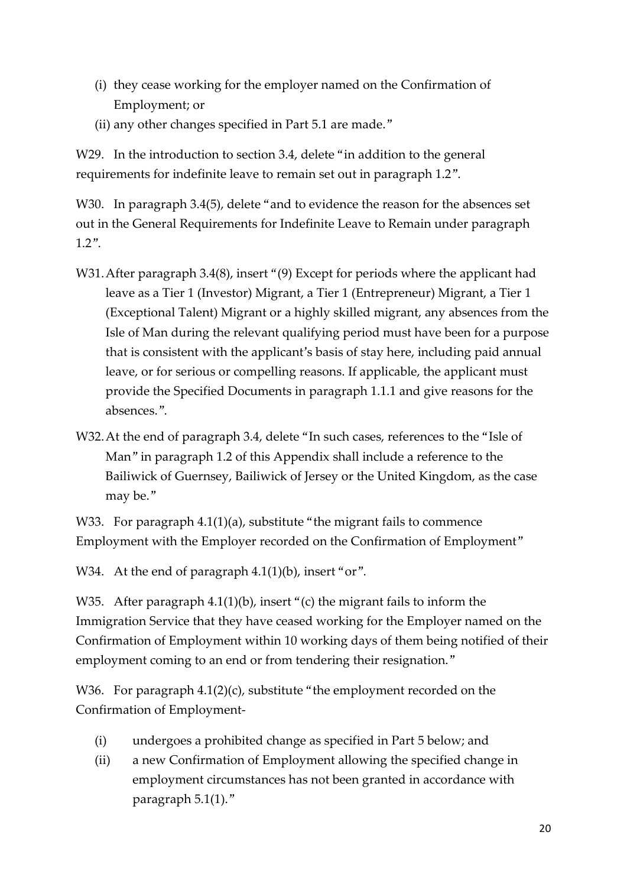- (i) they cease working for the employer named on the Confirmation of Employment; or
- (ii) any other changes specified in Part 5.1 are made."

W29. In the introduction to section 3.4, delete "in addition to the general requirements for indefinite leave to remain set out in paragraph 1.2".

W30. In paragraph 3.4(5), delete "and to evidence the reason for the absences set out in the General Requirements for Indefinite Leave to Remain under paragraph 1.2".

- W31. After paragraph 3.4(8), insert "(9) Except for periods where the applicant had leave as a Tier 1 (Investor) Migrant, a Tier 1 (Entrepreneur) Migrant, a Tier 1 (Exceptional Talent) Migrant or a highly skilled migrant, any absences from the Isle of Man during the relevant qualifying period must have been for a purpose that is consistent with the applicant's basis of stay here, including paid annual leave, or for serious or compelling reasons. If applicable, the applicant must provide the Specified Documents in paragraph 1.1.1 and give reasons for the absences.".
- W32.At the end of paragraph 3.4, delete "In such cases, references to the "Isle of Man" in paragraph 1.2 of this Appendix shall include a reference to the Bailiwick of Guernsey, Bailiwick of Jersey or the United Kingdom, as the case may be."

W33. For paragraph 4.1(1)(a), substitute "the migrant fails to commence Employment with the Employer recorded on the Confirmation of Employment"

W34. At the end of paragraph 4.1(1)(b), insert "or".

W35. After paragraph 4.1(1)(b), insert "(c) the migrant fails to inform the Immigration Service that they have ceased working for the Employer named on the Confirmation of Employment within 10 working days of them being notified of their employment coming to an end or from tendering their resignation."

W36. For paragraph 4.1(2)(c), substitute "the employment recorded on the Confirmation of Employment-

- (i) undergoes a prohibited change as specified in Part 5 below; and
- (ii) a new Confirmation of Employment allowing the specified change in employment circumstances has not been granted in accordance with paragraph 5.1(1)."